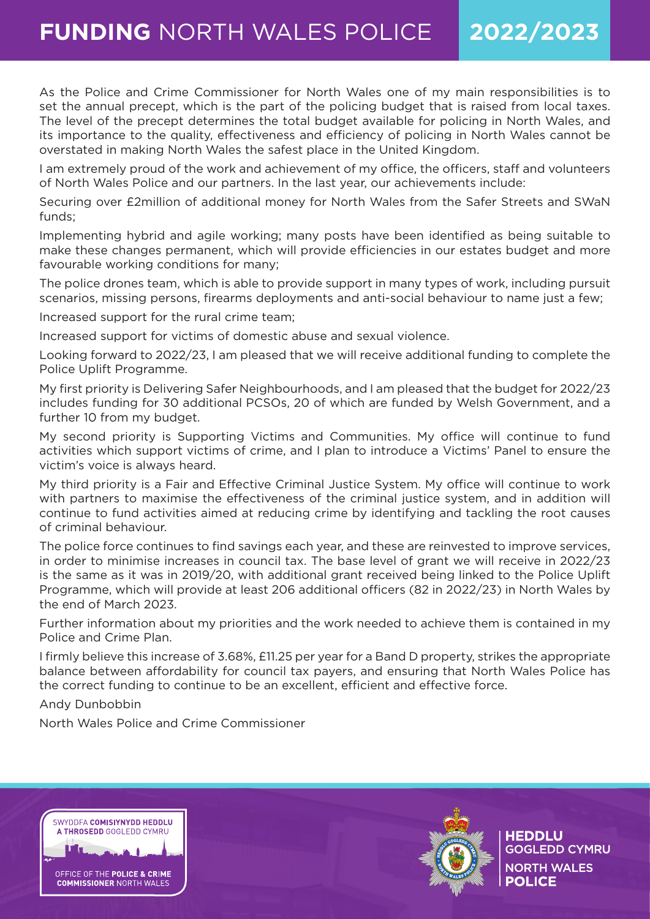# **FUNDING** NORTH WALES POLICE **2022/2023**

As the Police and Crime Commissioner for North Wales one of my main responsibilities is to set the annual precept, which is the part of the policing budget that is raised from local taxes. The level of the precept determines the total budget available for policing in North Wales, and its importance to the quality, effectiveness and efficiency of policing in North Wales cannot be overstated in making North Wales the safest place in the United Kingdom.

I am extremely proud of the work and achievement of my office, the officers, staff and volunteers of North Wales Police and our partners. In the last year, our achievements include:

Securing over £2million of additional money for North Wales from the Safer Streets and SWaN funds;

Implementing hybrid and agile working; many posts have been identified as being suitable to make these changes permanent, which will provide efficiencies in our estates budget and more favourable working conditions for many;

The police drones team, which is able to provide support in many types of work, including pursuit scenarios, missing persons, firearms deployments and anti-social behaviour to name just a few;

Increased support for the rural crime team;

Increased support for victims of domestic abuse and sexual violence.

Looking forward to 2022/23, I am pleased that we will receive additional funding to complete the Police Uplift Programme.

My first priority is Delivering Safer Neighbourhoods, and I am pleased that the budget for 2022/23 includes funding for 30 additional PCSOs, 20 of which are funded by Welsh Government, and a further 10 from my budget.

My second priority is Supporting Victims and Communities. My office will continue to fund activities which support victims of crime, and I plan to introduce a Victims' Panel to ensure the victim's voice is always heard.

My third priority is a Fair and Effective Criminal Justice System. My office will continue to work with partners to maximise the effectiveness of the criminal justice system, and in addition will continue to fund activities aimed at reducing crime by identifying and tackling the root causes of criminal behaviour.

The police force continues to find savings each year, and these are reinvested to improve services, in order to minimise increases in council tax. The base level of grant we will receive in 2022/23 is the same as it was in 2019/20, with additional grant received being linked to the Police Uplift Programme, which will provide at least 206 additional officers (82 in 2022/23) in North Wales by the end of March 2023.

Further information about my priorities and the work needed to achieve them is contained in my Police and Crime Plan.

I firmly believe this increase of 3.68%, £11.25 per year for a Band D property, strikes the appropriate balance between affordability for council tax payers, and ensuring that North Wales Police has the correct funding to continue to be an excellent, efficient and effective force.

Andy Dunbobbin

North Wales Police and Crime Commissioner





**HEDDLU GOGLEDD CYMRU NORTH WALES POLICE**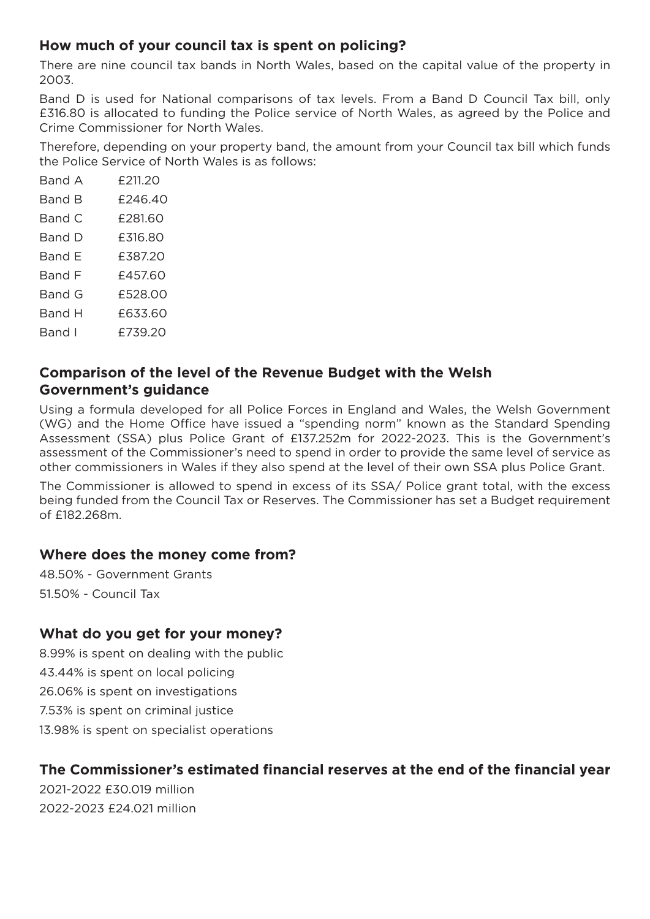### **How much of your council tax is spent on policing?**

There are nine council tax bands in North Wales, based on the capital value of the property in 2003.

Band D is used for National comparisons of tax levels. From a Band D Council Tax bill, only £316.80 is allocated to funding the Police service of North Wales, as agreed by the Police and Crime Commissioner for North Wales.

Therefore, depending on your property band, the amount from your Council tax bill which funds the Police Service of North Wales is as follows:

| Band A        | £211.20 |
|---------------|---------|
| <b>Band B</b> | £246.40 |
| Band C        | £281.60 |
| Band D        | £316.80 |
| Band F        | £387.20 |
| Band F        | £457.60 |
| Band G        | £528.00 |
| <b>Band H</b> | £633.60 |
| Band l        | £739.20 |
|               |         |

### **Comparison of the level of the Revenue Budget with the Welsh Government's guidance**

Using a formula developed for all Police Forces in England and Wales, the Welsh Government (WG) and the Home Office have issued a "spending norm" known as the Standard Spending Assessment (SSA) plus Police Grant of £137.252m for 2022-2023. This is the Government's assessment of the Commissioner's need to spend in order to provide the same level of service as other commissioners in Wales if they also spend at the level of their own SSA plus Police Grant.

The Commissioner is allowed to spend in excess of its SSA/ Police grant total, with the excess being funded from the Council Tax or Reserves. The Commissioner has set a Budget requirement of £182.268m.

### **Where does the money come from?**

48.50% - Government Grants 51.50% - Council Tax

### **What do you get for your money?**

8.99% is spent on dealing with the public 43.44% is spent on local policing 26.06% is spent on investigations 7.53% is spent on criminal justice 13.98% is spent on specialist operations

### **The Commissioner's estimated financial reserves at the end of the financial year**

2021-2022 £30.019 million 2022-2023 £24.021 million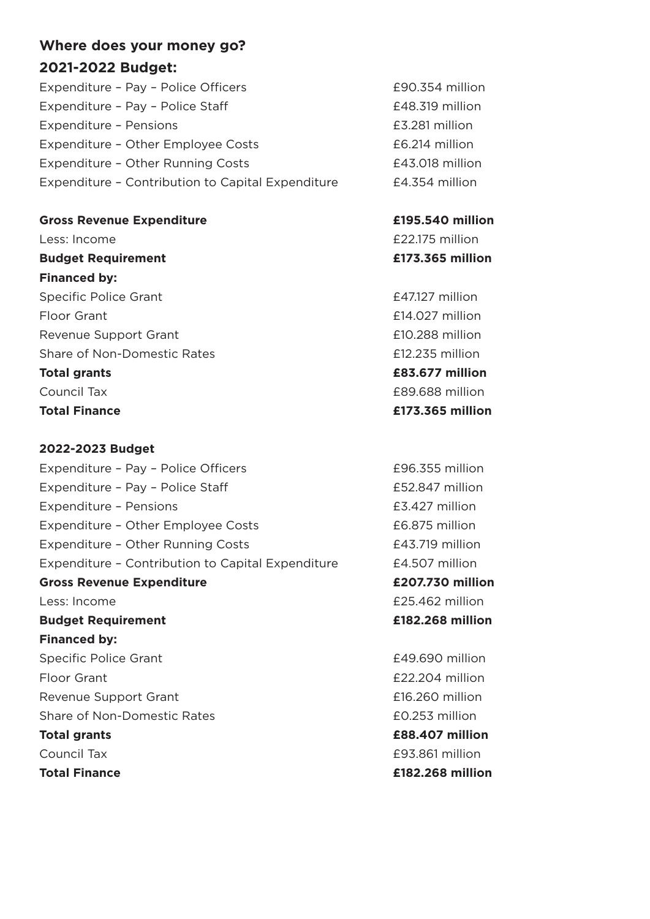## **Where does your money go? 2021-2022 Budget:**

Expenditure – Pay – Police Officers **1990.354 million** Expenditure – Pay – Police Staff **EXPENDIES** E48.319 million Expenditure – Pensions **EXPENDITURE 1281** million Expenditure - Other Employee Costs <br>
Expenditure - Other Employee Costs Expenditure – Other Running Costs<br>
Expenditure – Other Running Costs Expenditure – Contribution to Capital Expenditure £4.354 million

**Gross Revenue Expenditure £195.540 million** Less: Income **E22.175** million **Budget Requirement £173.365 million Financed by:** Specific Police Grant **E47.127 million** Floor Grant £14.027 million Revenue Support Grant **E10.288 million** Share of Non-Domestic Rates **E12.235 million Total grants £83.677 million** Council Tax £89.688 million **Total Finance £173.365 million**

# **2022-2023 Budget** Expenditure – Pay – Police Officers **196.355 million** Expenditure – Pay – Police Staff **Expenditure – Pay – Police Staff Expenditure** – Pay – Police Staff **Expenditure** Expenditure – Pensions and E3.427 million Expenditure - Other Employee Costs **EXPENSIFY EDGES** E6.875 million Expenditure – Other Running Costs **1988** E43.719 million Expenditure – Contribution to Capital Expenditure £4.507 million **Gross Revenue Expenditure £207.730 million** Less: Income **E25.462 million Budget Requirement £182.268 million Financed by:** Specific Police Grant **E49.690 million** Floor Grant **Example 202.204 million** Revenue Support Grant **E16.260 million** Share of Non-Domestic Rates **EQ.253 million Total grants £88.407 million** Council Tax £93.861 million **Total Finance £182.268 million**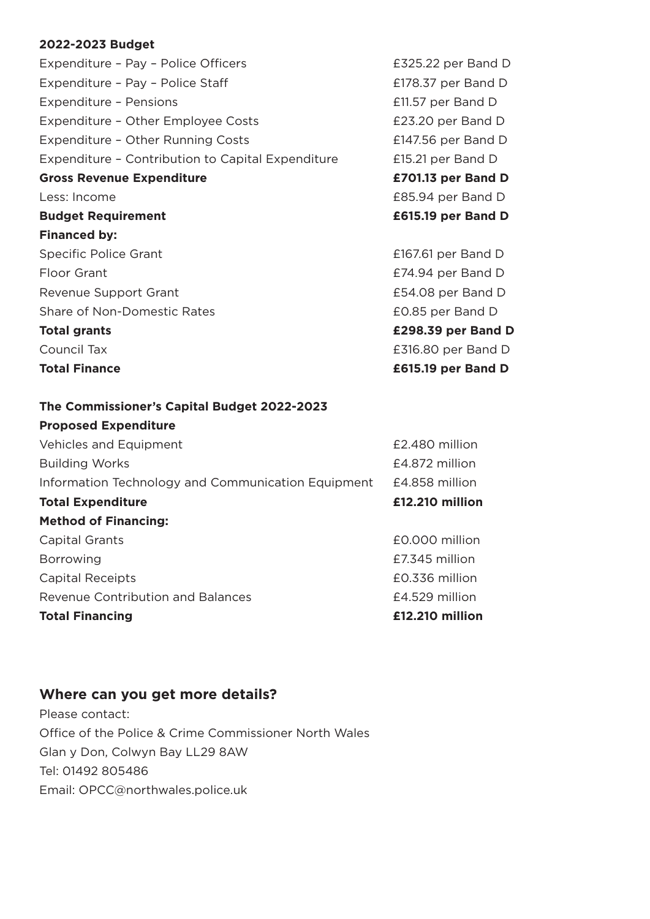#### **2022-2023 Budget**

Expenditure – Pay – Police Officers **EXPENDIES** E325.22 per Band D Expenditure - Pay - Police Staff **EXPENSISH EXPENSISH E178.37 per Band D** Expenditure – Pensions **EXPENDITURE 11.57 per Band D** Expenditure – Other Employee Costs **EXALL EXALC** PENSION E23.20 per Band D Expenditure - Other Running Costs **EXPENSION EXPENSION COSTS** Expenditure - Other Running Costs Expenditure - Contribution to Capital Expenditure F15.21 per Band D **Gross Revenue Expenditure £701.13 per Band D** Less: Income **E85.94** per Band D **Budget Requirement £615.19 per Band D Financed by:** Specific Police Grant **E167.61** per Band D Floor Grant **E74.94 per Band D** Revenue Support Grant **E54.08** per Band D Share of Non-Domestic Rates **EQ.85 per Band D Total grants £298.39 per Band D** Council Tax £316.80 per Band D Total Finance **E615.19** per Band D

**The Commissioner's Capital Budget 2022-2023**

# **Proposed Expenditure**  Vehicles and Equipment **E2.480** million Building Works **E4.872 million** Information Technology and Communication Equipment £4.858 million **Total Expenditure £12.210 million Method of Financing:**  Capital Grants £0.000 million Borrowing **E7.345 million** Capital Receipts £0.336 million Revenue Contribution and Balances **E4.529 million Total Financing £12.210 million**

#### **Where can you get more details?**

Please contact: Office of the Police & Crime Commissioner North Wales Glan y Don, Colwyn Bay LL29 8AW Tel: 01492 805486 Email: OPCC@northwales.police.uk